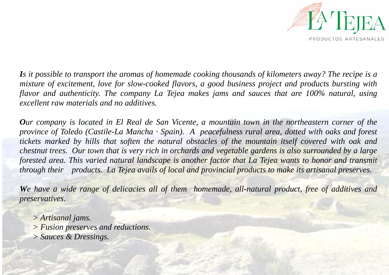

*Is it possible to transport the aromas of homemade cooking thousands of kilometers away? The recipe is a mixture of excitement, love for slow-cooked flavors, a good business project and products bursting with flavor and authenticity. The company La Tejea makes jams and sauces that are 100% natural, using excellent raw materials and no additives.*

*Our company is located in El Real de San Vicente, a mountain town in the northeastern corner of the province of Toledo (Castile-La Mancha · Spain). A peacefulness rural area, dotted with oaks and forest tickets marked by hills that soften the natural obstacles of the mountain itself covered with oak and chestnut trees. Our town that is very rich in orchards and vegetable gardens is also surrounded by a large forested area. This varied natural landscape is another factor that La Tejea wants to honor and transmit through their products. La Tejea avails of local and provincial products to make its artisanal preserves.*

*We have a wide range of delicacies all of them homemade, all-natural product, free of additives and preservatives.*

- *> Artisanal jams.*
- *> Fusion preserves and reductions.*
- *> Sauces & Dressings.*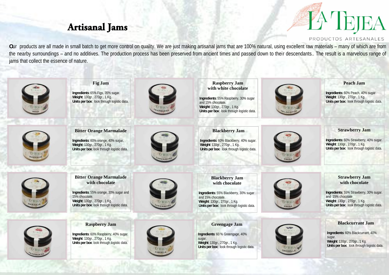## **Artisanal Jams**



#### PRODUCTOS ARTESANALES

**O**ur products are all made in small batch to get more control on quality. We are just making artisanal jams that are 100% natural, using excellent raw materials – many of which are from the nearby surroundings – and no additives. The production process has been preserved from ancient times and passed down to their descendants.. The result is a marvelous range of jams that collect the essence of nature.

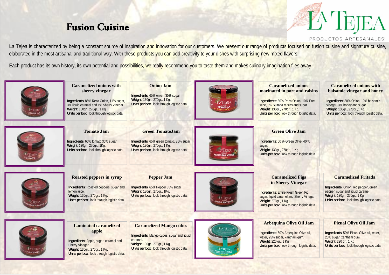## **Fusion Cuisine**



PRODUCTOS ARTESANALES

La Tejea is characterized by being a constant source of inspiration and innovation for our customers. We present our range of products focused on fusion cuisine and signature cuisine, elaborated in the most artisanal and traditional way. With these products you can add creativity to your dishes with surprising new mixed flavors.

Each product has its own history, its own potential and possibilities, we really recommend you to taste them and makes culinary imagination flies away.

| l∑∏gik⁄<br>SkéoLLA        | <b>Caramelized onions with</b><br>sherry vinegar<br>Ingredients: 85% Reca Onion, 11% sugar,<br>3% liquid caramel and 1% Sherry Vinegar.<br>Weight: 130gr., 270gr., 1 Kg.<br>Units per box: look through logistic data. | <b>Onion Jam</b><br>Ingredients: 65% onion, 35% sugar<br>Weight: 130gr., 270gr., 1 Kg.<br>Units per box: look through logistic data.                                           | <b>PATEIEA</b><br>CEBOLLA  | <b>Caramelized onions</b><br>marinated in port and raisins<br>Ingredients: 80% Reca Onion, 10% Port<br>wine, 3% Sultana raisins and sugar.<br>Weight: 130gr., 270gr., 1 Kg.<br>Units per box: look through logistic data. | <b>Caramelized onions with</b><br>balsamic vinegar and honey<br>Ingredients: 80% Onion, 10% balsamic<br>vinegar, 3% honey and sugar.<br>Weight: 130gr., 270gr., 1 Kg.<br>Units per box: look through logistic data. |
|---------------------------|------------------------------------------------------------------------------------------------------------------------------------------------------------------------------------------------------------------------|--------------------------------------------------------------------------------------------------------------------------------------------------------------------------------|----------------------------|---------------------------------------------------------------------------------------------------------------------------------------------------------------------------------------------------------------------------|---------------------------------------------------------------------------------------------------------------------------------------------------------------------------------------------------------------------|
| <b>LATIRIEA</b><br>TOMATE | <b>Tomato Jam</b><br>Ingredients: 65% tomato 35% sugar<br>Weight: 130gr., 270gr., 1Kg.<br>Units per box: look through logistic data.                                                                                   | <b>Green TomatoJam</b><br>Ingredients: 65% green tomato, 35% sugar<br>Weight: 130gr., 270gr., 1 Kg.<br>Units per box: look through logistic data.                              |                            | <b>Green Olive Jam</b><br>Ingredients: 60% Green Olive, 40%<br>sugar.<br>Weight: 130gr., 270gr., 1 Kg.<br>Units per box: look through logistic data.                                                                      |                                                                                                                                                                                                                     |
|                           | <b>Roasted peppers in syrup</b><br><b>Ingredients: Roasted peppers, sugar and</b><br>lemon juice.<br>Weight: 130gr., 270gr., 1 Kg.<br>Units per box: look through logistic data.                                       | <b>Pepper Jam</b><br>Ingredients: 65% Pepper 35% sugar<br>Weight: 130gr., 270gr., 1Kg.<br>Units per box: look through logistic data.                                           | LYTEE!<br><b>GOS ENTER</b> | <b>Caramelized Figs</b><br>in Sherry Vinegar<br><b>Ingredients: Entire Fresh Green Fig.</b><br>sugar, liquid caramel and Sherry Vinegar<br><b>Weight: 270gr., 1 Kg.</b><br>Units per box: look through logistic data.     | <b>Caramelized Fritada</b><br><b>Ingredients: Onion, red pepper, green</b><br>pepper, sugar and liquid caramel<br>Weight: 130gr., 270gr., 1 Kg.<br>Units per box: look through logistic data.                       |
| <b>LATERM</b><br>MANZANA  | <b>Laminated caramelized</b><br>apple<br>Ingredients: Apple, sugar, caramel and<br>Sherry Vinegar.<br>Weight: 130gr., 270gr., 1 Kg.<br>Units per box: look through logistic data.                                      | <b>Caramelized Mango cubes</b><br><b>Ingredients: Mango cubes, sugar and liquid</b><br>caramel.<br>Weight: 130gr., 270gr., 1 Kg.<br>Units per box: look through logistic data. |                            | <b>Arbequina Olive Oil Jam</b><br><b>Ingredients: 50% Arbequina Olive oil,</b><br>water, 25% sugar, xantham gum.<br><b>Weight: 220 gr., 1 Kg</b><br>Units per box: look through logistic data.                            | <b>Picual Olive Oil Jam</b><br><b>Ingredients: 50% Picual Olive oil, water,</b><br>25% sugar, xantham gum<br><b>Weight: 220 gr., 1 Kg</b><br>Units per box: look through logistic data.                             |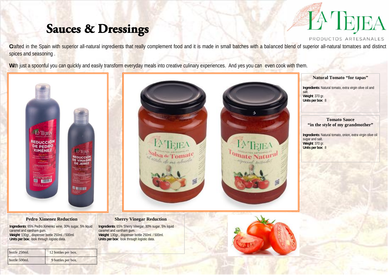# **Sauces & Dressings**

# **A IBII**

PRODUCTOS ARTESANALES

Crafted in the Spain with superior all-natural ingredients that really complement food and it is made in small batches with a balanced blend of superior all-natural tomatoes and distinct spices and seasoning.

With just a spoonful you can quickly and easily transform everyday meals into creative culinary experiences. And yes you can even cook with them.